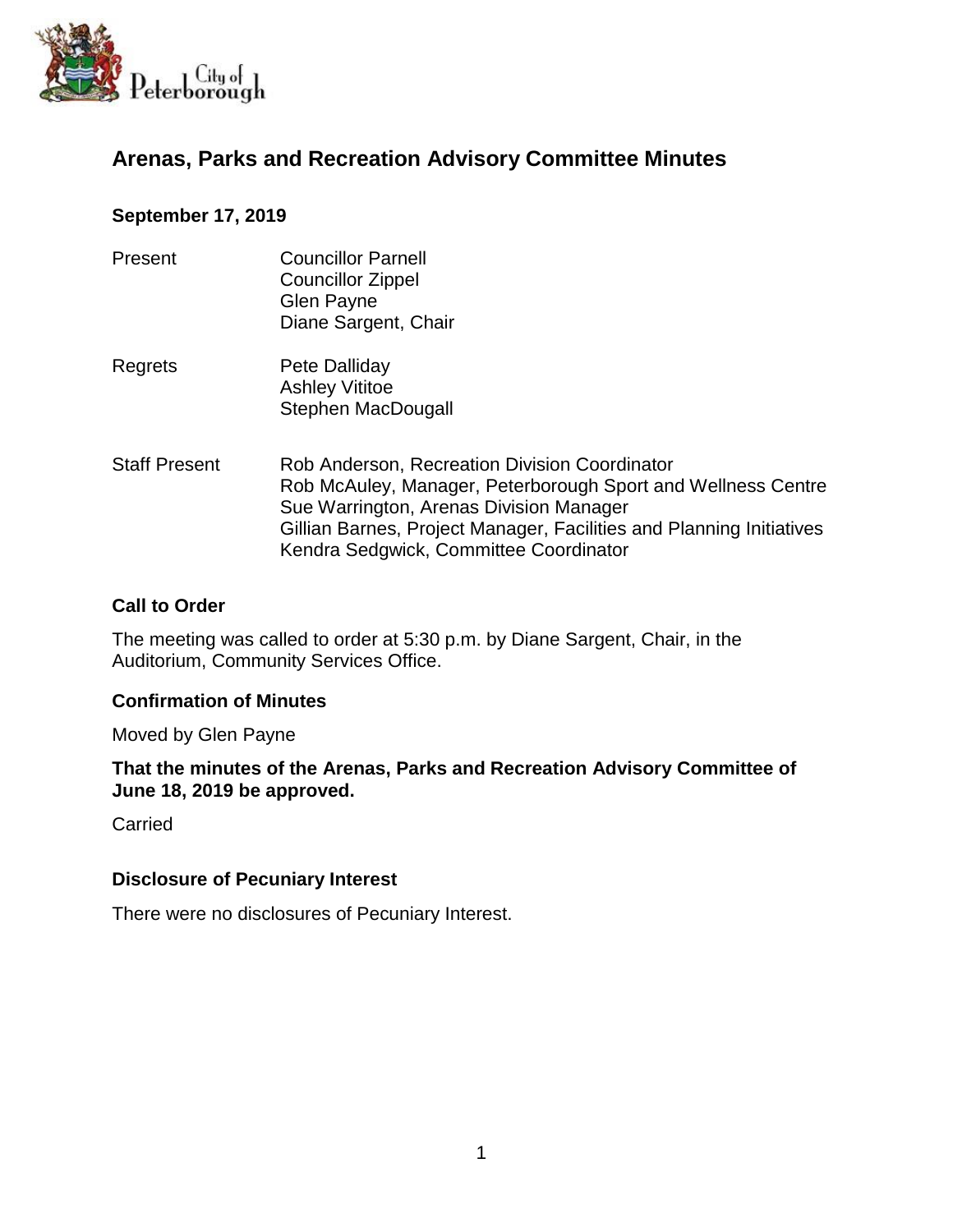

# **Arenas, Parks and Recreation Advisory Committee Minutes**

#### **September 17, 2019**

- Present Councillor Parnell Councillor Zippel Glen Payne Diane Sargent, Chair
- Regrets Pete Dalliday Ashley Vititoe Stephen MacDougall
- Staff Present Rob Anderson, Recreation Division Coordinator Rob McAuley, Manager, Peterborough Sport and Wellness Centre Sue Warrington, Arenas Division Manager Gillian Barnes, Project Manager, Facilities and Planning Initiatives Kendra Sedgwick, Committee Coordinator

### **Call to Order**

The meeting was called to order at 5:30 p.m. by Diane Sargent, Chair, in the Auditorium, Community Services Office.

#### **Confirmation of Minutes**

Moved by Glen Payne

**That the minutes of the Arenas, Parks and Recreation Advisory Committee of June 18, 2019 be approved.**

**Carried** 

#### **Disclosure of Pecuniary Interest**

There were no disclosures of Pecuniary Interest.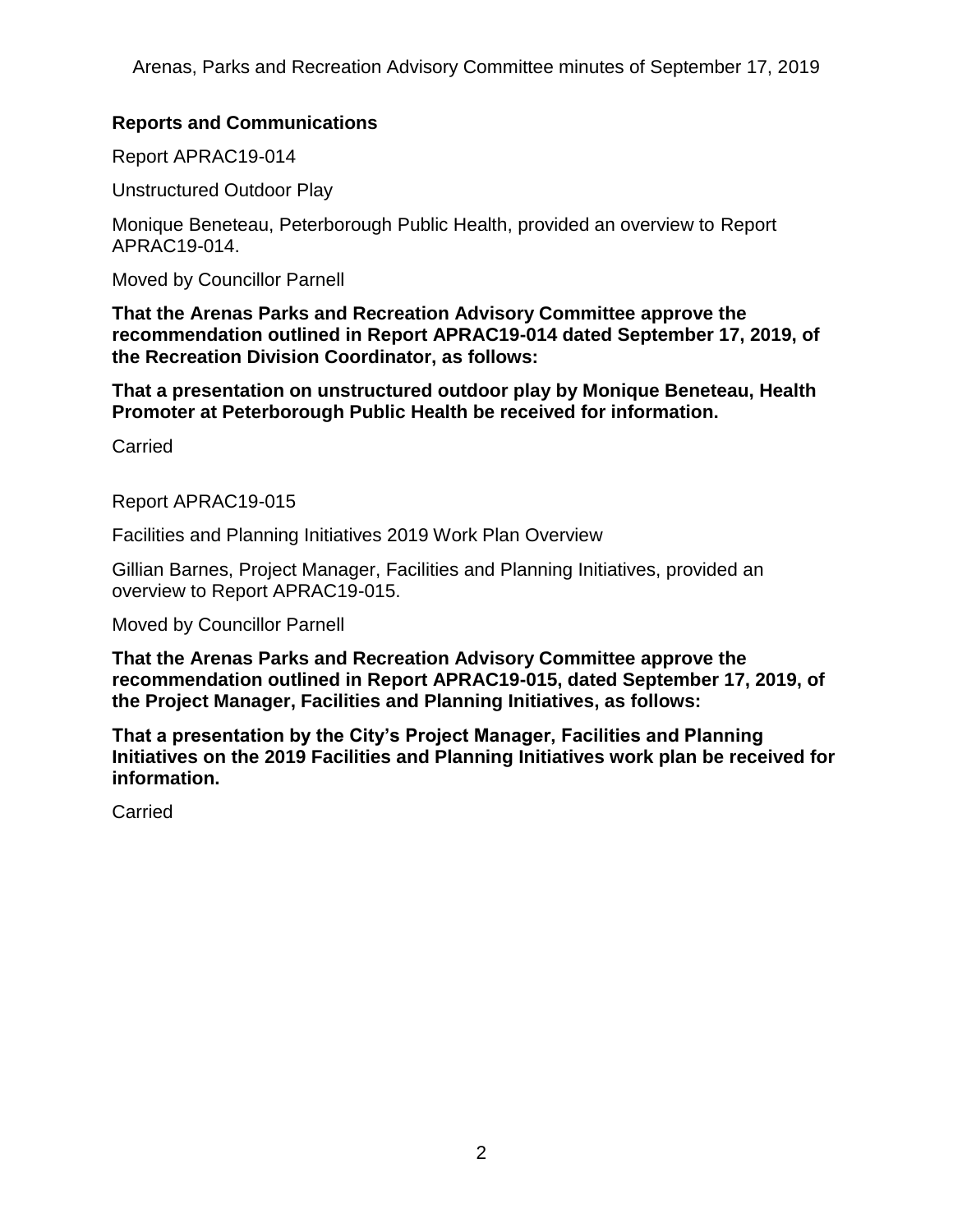# **Reports and Communications**

Report APRAC19-014

Unstructured Outdoor Play

Monique Beneteau, Peterborough Public Health, provided an overview to Report APRAC19-014.

Moved by Councillor Parnell

**That the Arenas Parks and Recreation Advisory Committee approve the recommendation outlined in Report APRAC19-014 dated September 17, 2019, of the Recreation Division Coordinator, as follows:**

**That a presentation on unstructured outdoor play by Monique Beneteau, Health Promoter at Peterborough Public Health be received for information.**

Carried

Report APRAC19-015

Facilities and Planning Initiatives 2019 Work Plan Overview

Gillian Barnes, Project Manager, Facilities and Planning Initiatives, provided an overview to Report APRAC19-015.

Moved by Councillor Parnell

**That the Arenas Parks and Recreation Advisory Committee approve the recommendation outlined in Report APRAC19-015, dated September 17, 2019, of the Project Manager, Facilities and Planning Initiatives, as follows:**

**That a presentation by the City's Project Manager, Facilities and Planning Initiatives on the 2019 Facilities and Planning Initiatives work plan be received for information.**

Carried